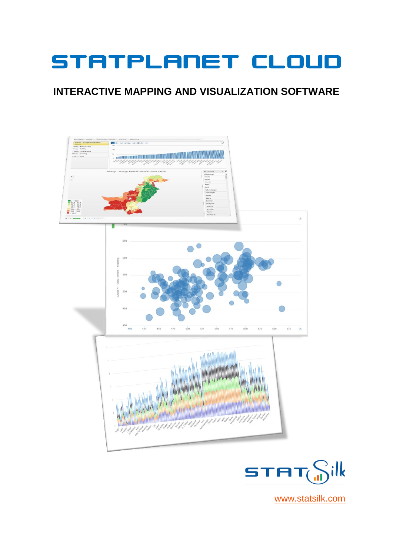# STATPLANET CLOUD

#### **INTERACTIVE MAPPING AND VISUALIZATION SOFTWARE**





[www.statsilk.com](http://www.statsilk.com/)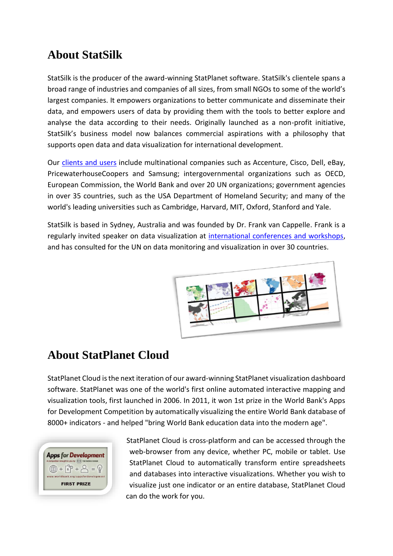### **About StatSilk**

StatSilk is the producer of the award-winning StatPlanet software. StatSilk's clientele spans a broad range of industries and companies of all sizes, from small NGOs to some of the world's largest companies. It empowers organizations to better communicate and disseminate their data, and empowers users of data by providing them with the tools to better explore and analyse the data according to their needs. Originally launched as a non-profit initiative, StatSilk's business model now balances commercial aspirations with a philosophy that supports open data and data visualization for international development.

Our [clients and users](http://www.statsilk.com/about/clients) include multinational companies such as Accenture, Cisco, Dell, eBay, PricewaterhouseCoopers and Samsung; intergovernmental organizations such as OECD, European Commission, the World Bank and over 20 UN organizations; government agencies in over 35 countries, such as the USA Department of Homeland Security; and many of the world's leading universities such as Cambridge, Harvard, MIT, Oxford, Stanford and Yale.

StatSilk is based in Sydney, Australia and was founded by Dr. Frank van Cappelle. Frank is a regularly invited speaker on data visualization at [international conferences and workshops,](https://www.statsilk.com/workshops-and-presentations) and has consulted for the UN on data monitoring and visualization in over 30 countries.



#### **About StatPlanet Cloud**

StatPlanet Cloud is the next iteration of our award-winning StatPlanet visualization dashboard software. StatPlanet was one of the world's first online automated interactive mapping and visualization tools, first launched in 2006. In 2011, it won 1st prize in the World Bank's Apps for Development Competition by automatically visualizing the entire World Bank database of 8000+ indicators - and helped "bring World Bank education data into the modern age".



StatPlanet Cloud is cross-platform and can be accessed through the web-browser from any device, whether PC, mobile or tablet. Use StatPlanet Cloud to automatically transform entire spreadsheets and databases into interactive visualizations. Whether you wish to visualize just one indicator or an entire database, StatPlanet Cloud can do the work for you.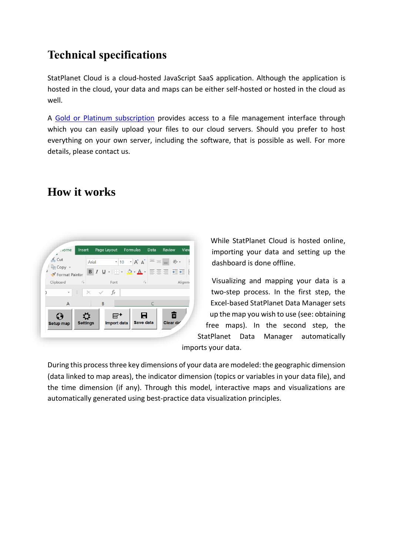# **Technical specifications**

StatPlanet Cloud is a cloud-hosted JavaScript SaaS application. Although the application is hosted in the cloud, your data and maps can be either self-hosted or hosted in the cloud as well.

A [Gold or Platinum subscription](https://www.statsilk.com/compare-subscription-plans) provides access to a file management interface through which you can easily upload your files to our cloud servers. Should you prefer to host everything on your own server, including the software, that is possible as well. For more details, please contact us.

## **How it works**



While StatPlanet Cloud is hosted online, importing your data and setting up the dashboard is done offline.

Visualizing and mapping your data is a two-step process. In the first step, the Excel-based StatPlanet Data Manager sets up the map you wish to use (see: obtaining free maps). In the second step, the

StatPlanet Data Manager automatically imports your data.

During this process three key dimensions of your data are modeled: the geographic dimension (data linked to map areas), the indicator dimension (topics or variables in your data file), and the time dimension (if any). Through this model, interactive maps and visualizations are automatically generated using best-practice data visualization principles.